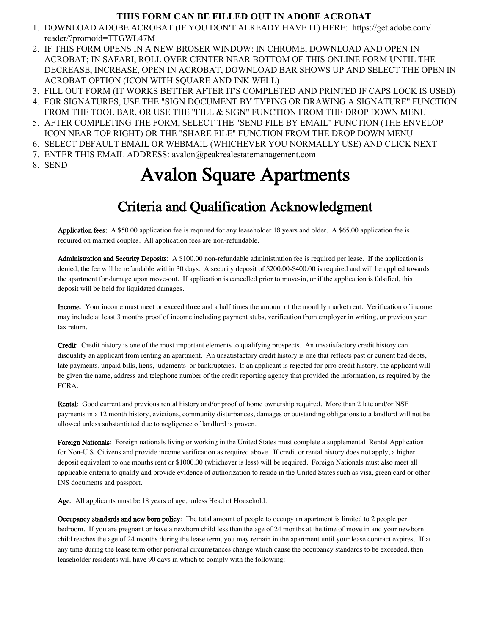# **THIS FORM CAN BE FILLED OUT IN ADOBE ACROBAT**

- 1. DOWNLOAD ADOBE ACROBAT (IF YOU DON'T ALREADY HAVE IT) HERE: https://get.adobe.com/ reader/?promoid=TTGWL47M
- 2. IF THIS FORM OPENS IN A NEW BROSER WINDOW: IN CHROME, DOWNLOAD AND OPEN IN ACROBAT; IN SAFARI, ROLL OVER CENTER NEAR BOTTOM OF THIS ONLINE FORM UNTIL THE DECREASE, INCREASE, OPEN IN ACROBAT, DOWNLOAD BAR SHOWS UP AND SELECT THE OPEN IN ACROBAT OPTION (ICON WITH SQUARE AND INK WELL)
- 3. FILL OUT FORM (IT WORKS BETTER AFTER IT'S COMPLETED AND PRINTED IF CAPS LOCK IS USED)
- 4. FOR SIGNATURES, USE THE "SIGN DOCUMENT BY TYPING OR DRAWING A SIGNATURE" FUNCTION FROM THE TOOL BAR, OR USE THE "FILL & SIGN" FUNCTION FROM THE DROP DOWN MENU
- 5. AFTER COMPLETING THE FORM, SELECT THE "SEND FILE BY EMAIL" FUNCTION (THE ENVELOP ICON NEAR TOP RIGHT) OR THE "SHARE FILE" FUNCTION FROM THE DROP DOWN MENU
- 6. SELECT DEFAULT EMAIL OR WEBMAIL (WHICHEVER YOU NORMALLY USE) AND CLICK NEXT
- 7. ENTER THIS EMAIL ADDRESS: avalon@peakrealestatemanagement.com
- 8. SEND

# Avalon Square Apartments

# Criteria and Qualification Acknowledgment

Application fees: A \$50.00 application fee is required for any leaseholder 18 years and older. A \$65.00 application fee is required on married couples. All application fees are non-refundable.

Administration and Security Deposits: A \$100.00 non-refundable administration fee is required per lease. If the application is denied, the fee will be refundable within 30 days. A security deposit of \$200.00-\$400.00 is required and will be applied towards the apartment for damage upon move-out. If application is cancelled prior to move-in, or if the application is falsified, this deposit will be held for liquidated damages.

Income: Your income must meet or exceed three and a half times the amount of the monthly market rent. Verification of income may include at least 3 months proof of income including payment stubs, verification from employer in writing, or previous year tax return.

Credit: Credit history is one of the most important elements to qualifying prospects. An unsatisfactory credit history can disqualify an applicant from renting an apartment. An unsatisfactory credit history is one that reflects past or current bad debts, late payments, unpaid bills, liens, judgments or bankruptcies. If an applicant is rejected for prro credit history, the applicant will be given the name, address and telephone number of the credit reporting agency that provided the information, as required by the FCRA.

Rental: Good current and previous rental history and/or proof of home ownership required. More than 2 late and/or NSF payments in a 12 month history, evictions, community disturbances, damages or outstanding obligations to a landlord will not be allowed unless substantiated due to negligence of landlord is proven.

Foreign Nationals: Foreign nationals living or working in the United States must complete a supplemental Rental Application for Non-U.S. Citizens and provide income verification as required above. If credit or rental history does not apply, a higher deposit equivalent to one months rent or \$1000.00 (whichever is less) will be required. Foreign Nationals must also meet all applicable criteria to qualify and provide evidence of authorization to reside in the United States such as visa, green card or other INS documents and passport.

Age: All applicants must be 18 years of age, unless Head of Household.

Occupancy standards and new born policy: The total amount of people to occupy an apartment is limited to 2 people per bedroom. If you are pregnant or have a newborn child less than the age of 24 months at the time of move in and your newborn child reaches the age of 24 months during the lease term, you may remain in the apartment until your lease contract expires. If at any time during the lease term other personal circumstances change which cause the occupancy standards to be exceeded, then leaseholder residents will have 90 days in which to comply with the following: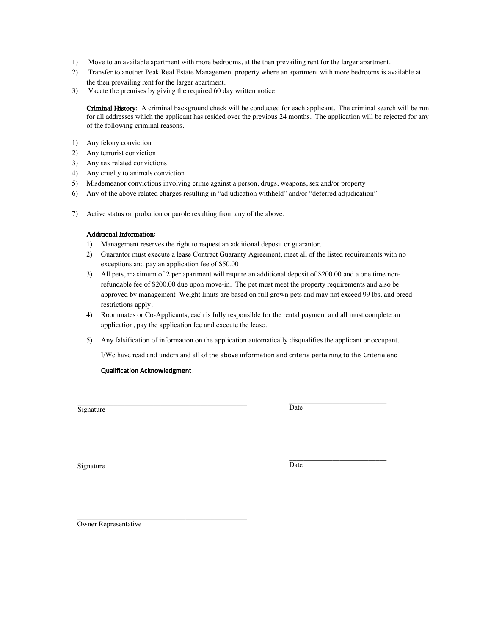- 1) Move to an available apartment with more bedrooms, at the then prevailing rent for the larger apartment.
- 2) Transfer to another Peak Real Estate Management property where an apartment with more bedrooms is available at the then prevailing rent for the larger apartment.
- 3) Vacate the premises by giving the required 60 day written notice.

Criminal History: A criminal background check will be conducted for each applicant. The criminal search will be run for all addresses which the applicant has resided over the previous 24 months. The application will be rejected for any of the following criminal reasons.

- 1) Any felony conviction
- 2) Any terrorist conviction
- 3) Any sex related convictions
- 4) Any cruelty to animals conviction
- 5) Misdemeanor convictions involving crime against a person, drugs, weapons, sex and/or property
- 6) Any of the above related charges resulting in "adjudication withheld" and/or "deferred adjudication"
- 7) Active status on probation or parole resulting from any of the above.

#### Additional Information:

- 1) Management reserves the right to request an additional deposit or guarantor.
- 2) Guarantor must execute a lease Contract Guaranty Agreement, meet all of the listed requirements with no exceptions and pay an application fee of \$50.00
- 3) All pets, maximum of 2 per apartment will require an additional deposit of \$200.00 and a one time nonrefundable fee of \$200.00 due upon move-in. The pet must meet the property requirements and also be approved by management Weight limits are based on full grown pets and may not exceed 99 lbs. and breed restrictions apply.
- 4) Roommates or Co-Applicants, each is fully responsible for the rental payment and all must complete an application, pay the application fee and execute the lease.
- 5) Any falsification of information on the application automatically disqualifies the applicant or occupant.

I/We have read and understand all of the above information and criteria pertaining to this Criteria and

#### Qualification Acknowledgment.

\_\_\_\_\_\_\_\_\_\_\_\_\_\_\_\_\_\_\_\_\_\_\_\_\_\_\_\_\_\_\_\_\_\_\_\_\_\_\_\_\_\_\_\_\_\_\_ **Signature** 

\_\_\_\_\_\_\_\_\_\_\_\_\_\_\_\_\_\_\_\_\_\_\_\_\_\_\_ Date

 Signature \_\_\_\_\_\_\_\_\_\_\_\_\_\_\_\_\_\_\_\_\_\_\_\_\_\_\_\_\_\_\_\_\_\_\_\_\_\_\_\_\_\_\_\_\_\_\_

\_\_\_\_\_\_\_\_\_\_\_\_\_\_\_\_\_\_\_\_\_\_\_\_\_\_\_ Date

\_\_\_\_\_\_\_\_\_\_\_\_\_\_\_\_\_\_\_\_\_\_\_\_\_\_\_\_\_\_\_\_\_\_\_\_\_\_\_\_\_\_\_\_\_\_\_ Owner Representative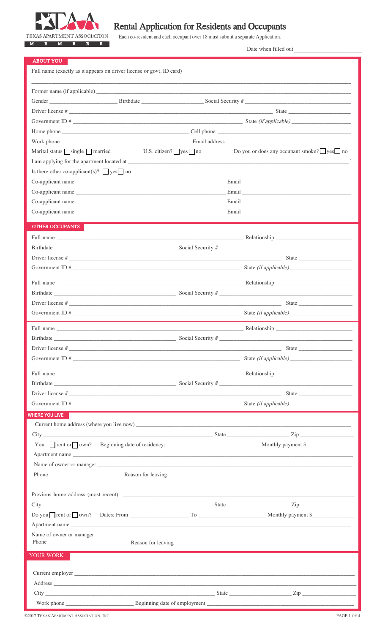

# Rental Application for Residents and Occupants

Each co-resident and each occupant over 18 must submit a separate Application.

Date when filled out

| <b>ABOUT YOU</b>                                                                                                                                                                                                                                                                                                                                                                          |                   |                                                         |
|-------------------------------------------------------------------------------------------------------------------------------------------------------------------------------------------------------------------------------------------------------------------------------------------------------------------------------------------------------------------------------------------|-------------------|---------------------------------------------------------|
| Full name (exactly as it appears on driver license or govt. ID card)                                                                                                                                                                                                                                                                                                                      |                   |                                                         |
|                                                                                                                                                                                                                                                                                                                                                                                           |                   |                                                         |
|                                                                                                                                                                                                                                                                                                                                                                                           |                   |                                                         |
|                                                                                                                                                                                                                                                                                                                                                                                           |                   |                                                         |
|                                                                                                                                                                                                                                                                                                                                                                                           |                   |                                                         |
| Government ID #                                                                                                                                                                                                                                                                                                                                                                           |                   |                                                         |
|                                                                                                                                                                                                                                                                                                                                                                                           |                   |                                                         |
|                                                                                                                                                                                                                                                                                                                                                                                           |                   |                                                         |
| Marital status $\Box$ single $\Box$ married U.S. citizen? $\Box$ yes $\Box$ no                                                                                                                                                                                                                                                                                                            |                   | Do you or does any occupant smoke? $\Box$ yes $\Box$ no |
| Is there other co-applicant(s)? $\Box$ yes $\Box$ no                                                                                                                                                                                                                                                                                                                                      |                   |                                                         |
|                                                                                                                                                                                                                                                                                                                                                                                           |                   |                                                         |
|                                                                                                                                                                                                                                                                                                                                                                                           |                   |                                                         |
|                                                                                                                                                                                                                                                                                                                                                                                           |                   |                                                         |
|                                                                                                                                                                                                                                                                                                                                                                                           |                   |                                                         |
|                                                                                                                                                                                                                                                                                                                                                                                           |                   |                                                         |
| <b>OTHER OCCUPANTS</b>                                                                                                                                                                                                                                                                                                                                                                    |                   |                                                         |
| Full name Relationship Relationship Relationship Relationship Relationship Relationship Relationship Relationship Relationship Relationship Relationship Relationship Relationship Relationship Relationship Relationship Rela                                                                                                                                                            |                   |                                                         |
|                                                                                                                                                                                                                                                                                                                                                                                           |                   |                                                         |
|                                                                                                                                                                                                                                                                                                                                                                                           |                   |                                                         |
|                                                                                                                                                                                                                                                                                                                                                                                           |                   |                                                         |
| Full name Relationship Relationship Relationship Relationship Relationship Property and Relationship Property and Relationship Property and Relationship Property and Relationship Property and Relationship Property and Rela                                                                                                                                                            |                   |                                                         |
|                                                                                                                                                                                                                                                                                                                                                                                           |                   |                                                         |
|                                                                                                                                                                                                                                                                                                                                                                                           |                   |                                                         |
|                                                                                                                                                                                                                                                                                                                                                                                           |                   |                                                         |
|                                                                                                                                                                                                                                                                                                                                                                                           |                   |                                                         |
|                                                                                                                                                                                                                                                                                                                                                                                           |                   |                                                         |
| Birthdate                                                                                                                                                                                                                                                                                                                                                                                 | Social Security # |                                                         |
|                                                                                                                                                                                                                                                                                                                                                                                           |                   |                                                         |
|                                                                                                                                                                                                                                                                                                                                                                                           |                   |                                                         |
| Full name Relationship Relationship Relationship Relationship Relationship Relationship Relationship Relationship Relationship Relationship Relationship Relationship Relationship Relationship Relationship Relationship Rela                                                                                                                                                            |                   |                                                         |
|                                                                                                                                                                                                                                                                                                                                                                                           |                   |                                                         |
|                                                                                                                                                                                                                                                                                                                                                                                           |                   |                                                         |
|                                                                                                                                                                                                                                                                                                                                                                                           |                   |                                                         |
| WHERE YOU LIVE                                                                                                                                                                                                                                                                                                                                                                            |                   |                                                         |
|                                                                                                                                                                                                                                                                                                                                                                                           |                   |                                                         |
|                                                                                                                                                                                                                                                                                                                                                                                           |                   |                                                         |
|                                                                                                                                                                                                                                                                                                                                                                                           |                   |                                                         |
| Apartment name and the contract of the contract of the contract of the contract of the contract of the contract of the contract of the contract of the contract of the contract of the contract of the contract of the contrac                                                                                                                                                            |                   |                                                         |
|                                                                                                                                                                                                                                                                                                                                                                                           |                   |                                                         |
|                                                                                                                                                                                                                                                                                                                                                                                           |                   |                                                         |
|                                                                                                                                                                                                                                                                                                                                                                                           |                   |                                                         |
|                                                                                                                                                                                                                                                                                                                                                                                           |                   |                                                         |
| $\text{City}$ $\frac{1}{\text{City}}$ $\frac{1}{\text{City}}$ $\frac{1}{\text{City}}$ $\frac{1}{\text{City}}$ $\frac{1}{\text{City}}$ $\frac{1}{\text{City}}$ $\frac{1}{\text{City}}$ $\frac{1}{\text{City}}$ $\frac{1}{\text{City}}$ $\frac{1}{\text{City}}$ $\frac{1}{\text{City}}$ $\frac{1}{\text{City}}$ $\frac{1}{\text{City}}$ $\frac{1}{\text{City}}$ $\frac{1}{\text{City}}$ $\$ |                   |                                                         |
|                                                                                                                                                                                                                                                                                                                                                                                           |                   |                                                         |
| Apartment name<br>Name of owner or manager                                                                                                                                                                                                                                                                                                                                                |                   |                                                         |
| Phone<br>Reason for leaving                                                                                                                                                                                                                                                                                                                                                               |                   |                                                         |
|                                                                                                                                                                                                                                                                                                                                                                                           |                   |                                                         |
| YOUR WORK                                                                                                                                                                                                                                                                                                                                                                                 |                   |                                                         |
|                                                                                                                                                                                                                                                                                                                                                                                           |                   |                                                         |
|                                                                                                                                                                                                                                                                                                                                                                                           |                   |                                                         |
|                                                                                                                                                                                                                                                                                                                                                                                           |                   |                                                         |
|                                                                                                                                                                                                                                                                                                                                                                                           |                   |                                                         |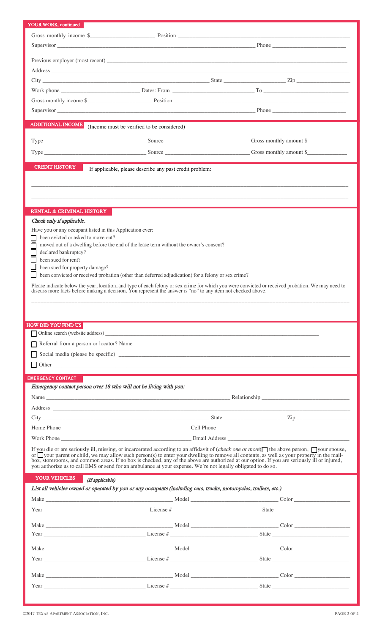| YOUR WORK, continued                 |                                                                                                                                                                                                                                |                                                                                                                                                                                                                                                                                                                                                                                  |  |
|--------------------------------------|--------------------------------------------------------------------------------------------------------------------------------------------------------------------------------------------------------------------------------|----------------------------------------------------------------------------------------------------------------------------------------------------------------------------------------------------------------------------------------------------------------------------------------------------------------------------------------------------------------------------------|--|
|                                      |                                                                                                                                                                                                                                | Gross monthly income \$                                                                                                                                                                                                                                                                                                                                                          |  |
|                                      |                                                                                                                                                                                                                                |                                                                                                                                                                                                                                                                                                                                                                                  |  |
|                                      |                                                                                                                                                                                                                                |                                                                                                                                                                                                                                                                                                                                                                                  |  |
|                                      |                                                                                                                                                                                                                                |                                                                                                                                                                                                                                                                                                                                                                                  |  |
|                                      |                                                                                                                                                                                                                                |                                                                                                                                                                                                                                                                                                                                                                                  |  |
|                                      |                                                                                                                                                                                                                                |                                                                                                                                                                                                                                                                                                                                                                                  |  |
|                                      |                                                                                                                                                                                                                                |                                                                                                                                                                                                                                                                                                                                                                                  |  |
|                                      |                                                                                                                                                                                                                                | Gross monthly income \$                                                                                                                                                                                                                                                                                                                                                          |  |
|                                      |                                                                                                                                                                                                                                |                                                                                                                                                                                                                                                                                                                                                                                  |  |
|                                      |                                                                                                                                                                                                                                |                                                                                                                                                                                                                                                                                                                                                                                  |  |
|                                      | <b>ADDITIONAL INCOME</b> (Income must be verified to be considered)                                                                                                                                                            |                                                                                                                                                                                                                                                                                                                                                                                  |  |
|                                      |                                                                                                                                                                                                                                |                                                                                                                                                                                                                                                                                                                                                                                  |  |
|                                      |                                                                                                                                                                                                                                | Type Gross monthly amount \$                                                                                                                                                                                                                                                                                                                                                     |  |
|                                      |                                                                                                                                                                                                                                |                                                                                                                                                                                                                                                                                                                                                                                  |  |
| <b>CREDIT HISTORY</b>                | If applicable, please describe any past credit problem:                                                                                                                                                                        |                                                                                                                                                                                                                                                                                                                                                                                  |  |
|                                      |                                                                                                                                                                                                                                |                                                                                                                                                                                                                                                                                                                                                                                  |  |
|                                      |                                                                                                                                                                                                                                |                                                                                                                                                                                                                                                                                                                                                                                  |  |
|                                      |                                                                                                                                                                                                                                |                                                                                                                                                                                                                                                                                                                                                                                  |  |
| <b>RENTAL &amp; CRIMINAL HISTORY</b> |                                                                                                                                                                                                                                |                                                                                                                                                                                                                                                                                                                                                                                  |  |
| Check only if applicable.            |                                                                                                                                                                                                                                |                                                                                                                                                                                                                                                                                                                                                                                  |  |
|                                      | Have you or any occupant listed in this Application ever:                                                                                                                                                                      |                                                                                                                                                                                                                                                                                                                                                                                  |  |
| been evicted or asked to move out?   |                                                                                                                                                                                                                                |                                                                                                                                                                                                                                                                                                                                                                                  |  |
|                                      | moved out of a dwelling before the end of the lease term without the owner's consent?                                                                                                                                          |                                                                                                                                                                                                                                                                                                                                                                                  |  |
| declared bankruptcy?                 |                                                                                                                                                                                                                                |                                                                                                                                                                                                                                                                                                                                                                                  |  |
| been sued for rent?                  |                                                                                                                                                                                                                                |                                                                                                                                                                                                                                                                                                                                                                                  |  |
| been sued for property damage?       | been convicted or received probation (other than deferred adjudication) for a felony or sex crime?                                                                                                                             |                                                                                                                                                                                                                                                                                                                                                                                  |  |
|                                      |                                                                                                                                                                                                                                |                                                                                                                                                                                                                                                                                                                                                                                  |  |
|                                      |                                                                                                                                                                                                                                | Please indicate below the year, location, and type of each felony or sex crime for which you were convicted or received probation. We may need to discuss more facts before making a decision. You represent the answer is "no                                                                                                                                                   |  |
|                                      |                                                                                                                                                                                                                                |                                                                                                                                                                                                                                                                                                                                                                                  |  |
|                                      |                                                                                                                                                                                                                                |                                                                                                                                                                                                                                                                                                                                                                                  |  |
|                                      |                                                                                                                                                                                                                                |                                                                                                                                                                                                                                                                                                                                                                                  |  |
| <b>HOW DID YOU FIND US</b>           |                                                                                                                                                                                                                                |                                                                                                                                                                                                                                                                                                                                                                                  |  |
|                                      |                                                                                                                                                                                                                                |                                                                                                                                                                                                                                                                                                                                                                                  |  |
|                                      |                                                                                                                                                                                                                                |                                                                                                                                                                                                                                                                                                                                                                                  |  |
|                                      |                                                                                                                                                                                                                                |                                                                                                                                                                                                                                                                                                                                                                                  |  |
|                                      |                                                                                                                                                                                                                                |                                                                                                                                                                                                                                                                                                                                                                                  |  |
| <b>EMERGENCY CONTACT</b>             |                                                                                                                                                                                                                                |                                                                                                                                                                                                                                                                                                                                                                                  |  |
|                                      | Emergency contact person over 18 who will not be living with you:                                                                                                                                                              |                                                                                                                                                                                                                                                                                                                                                                                  |  |
|                                      |                                                                                                                                                                                                                                |                                                                                                                                                                                                                                                                                                                                                                                  |  |
|                                      | Address and the contract of the contract of the contract of the contract of the contract of the contract of the contract of the contract of the contract of the contract of the contract of the contract of the contract of th |                                                                                                                                                                                                                                                                                                                                                                                  |  |
|                                      |                                                                                                                                                                                                                                |                                                                                                                                                                                                                                                                                                                                                                                  |  |
|                                      |                                                                                                                                                                                                                                |                                                                                                                                                                                                                                                                                                                                                                                  |  |
|                                      |                                                                                                                                                                                                                                |                                                                                                                                                                                                                                                                                                                                                                                  |  |
|                                      |                                                                                                                                                                                                                                |                                                                                                                                                                                                                                                                                                                                                                                  |  |
|                                      |                                                                                                                                                                                                                                | If you die or are seriously ill, missing, or incarcerated according to an affidavit of ( <i>check one or more</i> ) the above person, solver spouse,                                                                                                                                                                                                                             |  |
|                                      |                                                                                                                                                                                                                                | or your parent or child, we may allow such person(s) to enter your dwelling to remove all contents, as well as your property in the mail-<br>box, storerooms, and common areas. If no box is checked, any of the above are authorized at our option. If you are seriously ill or injured,                                                                                        |  |
|                                      | you authorize us to call EMS or send for an ambulance at your expense. We're not legally obligated to do so.                                                                                                                   |                                                                                                                                                                                                                                                                                                                                                                                  |  |
| YOUR VEHICLES                        | (If applicable)                                                                                                                                                                                                                |                                                                                                                                                                                                                                                                                                                                                                                  |  |
|                                      | List all vehicles owned or operated by you or any occupants (including cars, trucks, motorcycles, trailers, etc.)                                                                                                              |                                                                                                                                                                                                                                                                                                                                                                                  |  |
|                                      |                                                                                                                                                                                                                                |                                                                                                                                                                                                                                                                                                                                                                                  |  |
|                                      |                                                                                                                                                                                                                                | $Year$ $\qquad \qquad$ $\qquad \qquad$ $\qquad \qquad$ $\qquad \qquad$ $\qquad \qquad$ $\qquad \qquad$ $\qquad \qquad$ $\qquad \qquad$ $\qquad$ $\qquad \qquad$ $\qquad$ $\qquad$ $\qquad$ $\qquad$ $\qquad$ $\qquad$ $\qquad$ $\qquad$ $\qquad$ $\qquad$ $\qquad$ $\qquad$ $\qquad$ $\qquad$ $\qquad$ $\qquad$ $\qquad$ $\qquad$ $\qquad$ $\qquad$ $\qquad$ $\qquad$            |  |
|                                      |                                                                                                                                                                                                                                |                                                                                                                                                                                                                                                                                                                                                                                  |  |
|                                      |                                                                                                                                                                                                                                |                                                                                                                                                                                                                                                                                                                                                                                  |  |
|                                      |                                                                                                                                                                                                                                | $Year$ $Year$ $\qquad \qquad$ $\qquad \qquad$ $\qquad \qquad$ $\qquad \qquad$ $\qquad \qquad$ $\qquad \qquad$ $\qquad \qquad$ $\qquad \qquad$ $\qquad \qquad$ $\qquad \qquad$ $\qquad \qquad$ $\qquad \qquad$ $\qquad$ $\qquad \qquad$ $\qquad$ $\qquad \qquad$ $\qquad$ $\qquad$ $\qquad$ $\qquad$ $\qquad$ $\qquad$ $\qquad$ $\qquad$ $\qquad$ $\qquad$ $\qquad$ $\qquad$ $\q$ |  |
|                                      |                                                                                                                                                                                                                                |                                                                                                                                                                                                                                                                                                                                                                                  |  |
|                                      |                                                                                                                                                                                                                                |                                                                                                                                                                                                                                                                                                                                                                                  |  |
|                                      |                                                                                                                                                                                                                                |                                                                                                                                                                                                                                                                                                                                                                                  |  |
|                                      |                                                                                                                                                                                                                                | $Year$ $\qquad \qquad$ $\qquad \qquad$ $\qquad$ $\qquad$ $\qquad$ $\qquad$ $\qquad$ $\qquad$ $\qquad$ $\qquad$ $\qquad$ $\qquad$ $\qquad$ $\qquad$ $\qquad$ $\qquad$ $\qquad$ $\qquad$ $\qquad$ $\qquad$ $\qquad$ $\qquad$ $\qquad$ $\qquad$ $\qquad$ $\qquad$ $\qquad$ $\qquad$ $\qquad$ $\qquad$ $\qquad$ $\qquad$ $\qquad$ $\qquad$ $\qquad$                                  |  |
|                                      |                                                                                                                                                                                                                                |                                                                                                                                                                                                                                                                                                                                                                                  |  |
|                                      |                                                                                                                                                                                                                                | Make Color Color Color Color Color Color Color Color Color Color Color Color Color Color Color Color Color Color Color Color Color Color Color Color Color Color Color Color Color Color Color Color Color Color Color Color C                                                                                                                                                   |  |
|                                      |                                                                                                                                                                                                                                | State                                                                                                                                                                                                                                                                                                                                                                            |  |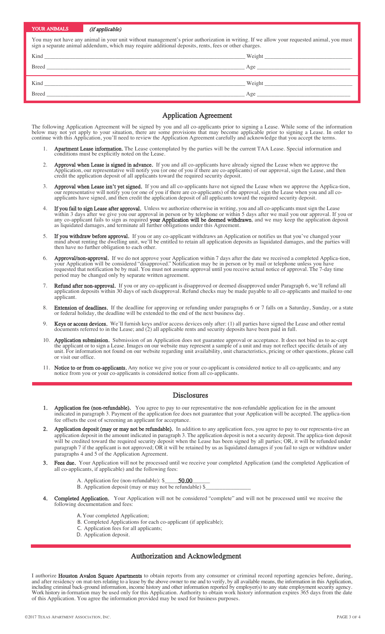| YOUR ANIMALS (if applicable)                                                                                                                                                                                                                       |                                                                                                                                                                                                                                |        |  |  |
|----------------------------------------------------------------------------------------------------------------------------------------------------------------------------------------------------------------------------------------------------|--------------------------------------------------------------------------------------------------------------------------------------------------------------------------------------------------------------------------------|--------|--|--|
| You may not have any animal in your unit without management's prior authorization in writing. If we allow your requested animal, you must<br>sign a separate animal addendum, which may require additional deposits, rents, fees or other charges. |                                                                                                                                                                                                                                |        |  |  |
|                                                                                                                                                                                                                                                    |                                                                                                                                                                                                                                | Weight |  |  |
|                                                                                                                                                                                                                                                    |                                                                                                                                                                                                                                |        |  |  |
|                                                                                                                                                                                                                                                    | Kind Weight News Assembly the Media of the Media of the Media of the Media of the Media of the Media of the Media of the Media of the Media of the Media of the Media of the Media of the Media of the Media of the Media of t |        |  |  |
|                                                                                                                                                                                                                                                    |                                                                                                                                                                                                                                | Age    |  |  |

#### Application Agreement

The following Application Agreement will be signed by you and all co-applicants prior to signing a Lease. While some of the information below may not yet apply to your situation, there are some provisions that may become applicable prior to signing a Lease. In order to continue with this Application, you'll need to review the Application Agreement carefully and acknowledge that you accept the terms.

- 1. Apartment Lease information. The Lease contemplated by the parties will be the current TAA Lease. Special information and conditions must be explicitly noted on the Lease.
- 2. Approval when Lease is signed in advance. If you and all co-applicants have already signed the Lease when we approve the Application, our representative will notify you (or one of you if there are co-applicants) of our approval, sign the Lease, and then credit the application deposit of all applicants toward the required security deposit.
- 3. Approval when Lease isn't yet signed. If you and all co-applicants have not signed the Lease when we approve the Applica-tion, our representative will notify you (or one of you if there are co-applicants) of the approval, sign the Lease when you and all coapplicants have signed, and then credit the application deposit of all applicants toward the required security deposit.
- 4. If you fail to sign Lease after approval. Unless we authorize otherwise in writing, you and all co-applicants must sign the Lease within 3 days after we give you our approval in person or by telephone or within 5 days after we mail you our approval. If you or any co-applicant fails to sign as required your Application will be deemed withdrawn, and we may keep the application deposit as liquidated damages, and terminate all further obligations under this Agreement.
- 5. If you withdraw before approval. If you or any co-applicant withdraws an Application or notifies us that you've changed your mind about renting the dwelling unit, we'll be entitled to retain all application deposits as liquidated damages, and the parties will then have no further obligation to each other.
- 6. **Approval/non-approval.** If we do not approve your Application within 7 days after the date we received a completed Applica-tion, your Application will be considered "disapproved." Notification may be in person or by mail or telephone unless you have requested that notification be by mail. You must not assume approval until you receive actual notice of approval. The 7-day time period may be changed only by separate written agreement.
- 7. Refund after non-approval. If you or any co-applicant is disapproved or deemed disapproved under Paragraph 6, we'll refund all application deposits within 30 days of such disapproval. Refund checks may be made payable to all co-applicants and mailed to one applicant.
- 8. Extension of deadlines. If the deadline for approving or refunding under paragraphs 6 or 7 falls on a Saturday, Sunday, or a state or federal holiday, the deadline will be extended to the end of the next business day.
- 9. Keys or access devices. We'll furnish keys and/or access devices only after: (1) all parties have signed the Lease and other rental documents referred to in the Lease; and (2) all applicable rents and security deposits have been paid in full.
- 10. Application submission. Submission of an Application does not guarantee approval or acceptance. It does not bind us to ac-cept the applicant or to sign a Lease. Images on our website may represent a sample of a unit and may not reflect specific details of any unit. For information not found on our website regarding unit availability, unit characteristics, pricing or other questions, please call or visit our office.
- 11. Notice to or from co-applicants. Any notice we give you or your co-applicant is considered notice to all co-applicants; and any notice from you or your co-applicants is considered notice from all co-applicants.

## Disclosures

- Application fee (non-refundable). You agree to pay to our representative the non-refundable application fee in the amount indicated in paragraph 3. Payment of the application fee does not guarantee that your Application will be accepted. The applica-tion fee offsets the cost of screening an applicant for acceptance.
- Application deposit (may or may not be refundable). In addition to any application fees, you agree to pay to our representa-tive an application deposit in the amount indicated in paragraph 3. The application deposit is not a security deposit. The applica-tion deposit will be credited toward the required security deposit when the Lease has been signed by all parties; OR, it will be refunded under paragraph 7 if the applicant is not approved; OR it will be retained by us as liquidated damages if you fail to sign or withdraw under paragraphs 4 and 5 of the Application Agreement.
- Fees due. Your Application will not be processed until we receive your completed Application (and the completed Application of all co-applicants, if applicable) and the following fees:
	- A. Application fee (non-refundable): \$\_\_\_\_\_\_\_\_\_\_\_\_\_\_\_\_ 50.00
	- B. Application deposit (may or may not be refundable)  $\$
- 4. Completed Application. Your Application will not be considered "complete" and will not be processed until we receive the following documentation and fees:
	- A. Your completed Application;
	- B. Completed Applications for each co-applicant (if applicable);
	- C. Application fees for all applicants;
	- D. Application deposit.

## Authorization and Acknowledgment

I authorize Houston Avalon Square Apartments to obtain reports from any consumer or criminal record reporting agencies before, during, and after residency on mat-ters relating to a lease by the above owner to me and to verify, by all available means, the information in this Application, including criminal back-ground information, income history and other information reported by employer(s) to any state employment security agency. Work history in-formation may be used only for this Application. Authority to obtain work history information expires 365 days from the date of this Application. You agree the information provided may be used for business purposes.